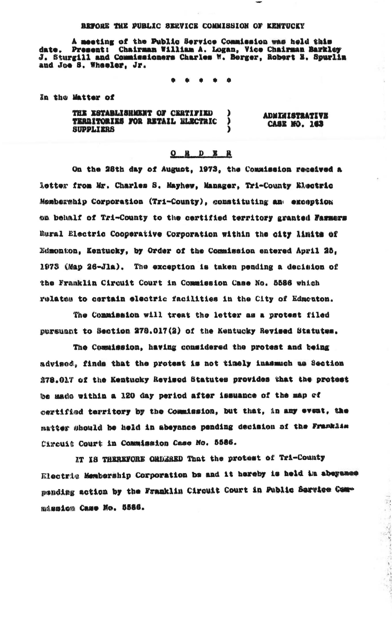## BEFORE THE PUBLIC SERVICE COMMISSION OF KENTUCKY

A meeting of the Public Service Commission was held this date. Present: Chairman William A. Logan, Vice Chairman Barkley<br>J. Sturgill and Commissioners Charles W. Berger, Robert E. Spurlin and Joe S. Wheeler. Jr.

> $\bullet$  $\blacksquare$  $\bullet$

In the Matter of

THE ESTABLISHMENT OF CERTIFIED TERRITORIES FOR RETAIL ELECTRIC **SUPPLIERS** 

**ADMINISTRATIVE CASE MO. 163** 

## $O$   $B$   $D$   $B$   $R$

On the 28th day of August, 1973, the Commission received a letter from Mr. Charles S. Mayhew, Manager, Tri-County Electric Membership Corporation (Tri-County), constituting an exception on behalf of Tri-County to the certified territory granted Farmers Bural Electric Cooperative Corporation within the city limits of Edmonton, Kentucky, by Order of the Commission entered April 25. 1973 (Map 26-Jla). The exception is taken pending a decision of the Franklin Circuit Court in Commission Case No. 5586 which relates to certain electric facilities in the City of Edmonton.

The Commission will treat the letter as a protest filed pursuant to Section 278.017(2) of the Kentucky Revised Statutes.

The Commission, having considered the protest and being advised, finds that the protest is not timely inasmuch us Section 278.017 of the Kentucky Revised Statutes provides that the protest be made within a 120 day period after issuance of the map of certified territory by the Commission, but that, in any event, the matter should be held in abeyance pending decision of the Franklin Circuit Court in Commission Case No. 5586.

NT IS THEREFORE ORDERED That the protest of Tri-County Electric Membership Corporation be and it hereby is held in abeyamee pending action by the Franklin Circuit Court in Public Sarrice Commismica Case No. 5586.